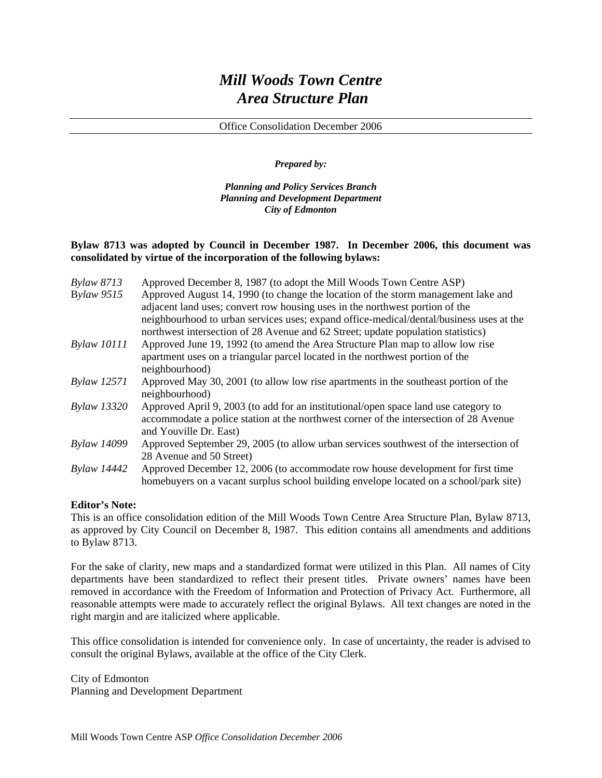# *Mill Woods Town Centre Area Structure Plan*

Office Consolidation December 2006

#### *Prepared by:*

*Planning and Policy Services Branch Planning and Development Department City of Edmonton*

#### **Bylaw 8713 was adopted by Council in December 1987. In December 2006, this document was consolidated by virtue of the incorporation of the following bylaws:**

| <b>Bylaw 8713</b>  | Approved December 8, 1987 (to adopt the Mill Woods Town Centre ASP)                     |
|--------------------|-----------------------------------------------------------------------------------------|
| <b>Bylaw 9515</b>  | Approved August 14, 1990 (to change the location of the storm management lake and       |
|                    | adjacent land uses; convert row housing uses in the northwest portion of the            |
|                    | neighbourhood to urban services uses; expand office-medical/dental/business uses at the |
|                    | northwest intersection of 28 Avenue and 62 Street; update population statistics)        |
| <b>Bylaw 10111</b> | Approved June 19, 1992 (to amend the Area Structure Plan map to allow low rise          |
|                    | apartment uses on a triangular parcel located in the northwest portion of the           |
|                    | neighbourhood)                                                                          |
| <b>Bylaw 12571</b> | Approved May 30, 2001 (to allow low rise apartments in the southeast portion of the     |
|                    | neighbourhood)                                                                          |
| <b>Bylaw 13320</b> | Approved April 9, 2003 (to add for an institutional/open space land use category to     |
|                    | accommodate a police station at the northwest corner of the intersection of 28 Avenue   |
|                    | and Youville Dr. East)                                                                  |
| <b>Bylaw 14099</b> | Approved September 29, 2005 (to allow urban services southwest of the intersection of   |
|                    | 28 Avenue and 50 Street)                                                                |
| <b>Bylaw 14442</b> | Approved December 12, 2006 (to accommodate row house development for first time         |
|                    | homebuyers on a vacant surplus school building envelope located on a school/park site)  |

#### **Editor's Note:**

This is an office consolidation edition of the Mill Woods Town Centre Area Structure Plan, Bylaw 8713, as approved by City Council on December 8, 1987. This edition contains all amendments and additions to Bylaw 8713.

For the sake of clarity, new maps and a standardized format were utilized in this Plan. All names of City departments have been standardized to reflect their present titles. Private owners' names have been removed in accordance with the Freedom of Information and Protection of Privacy Act. Furthermore, all reasonable attempts were made to accurately reflect the original Bylaws. All text changes are noted in the right margin and are italicized where applicable.

This office consolidation is intended for convenience only. In case of uncertainty, the reader is advised to consult the original Bylaws, available at the office of the City Clerk.

City of Edmonton Planning and Development Department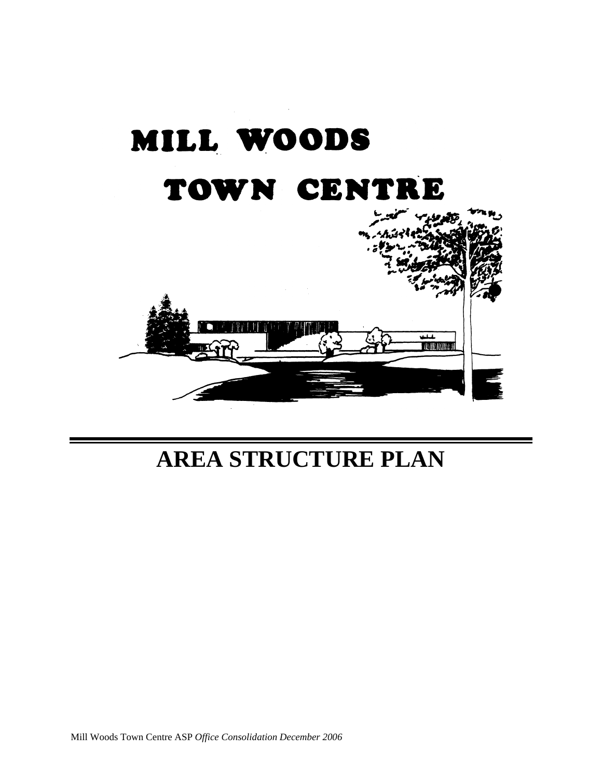



# **AREA STRUCTURE PLAN**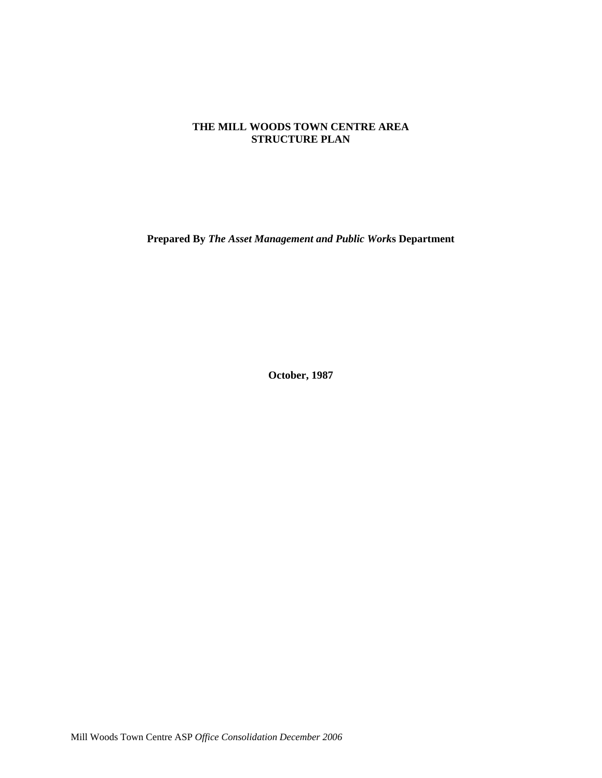#### **THE MILL WOODS TOWN CENTRE AREA STRUCTURE PLAN**

**Prepared By** *The Asset Management and Public Work***s Department** 

**October, 1987**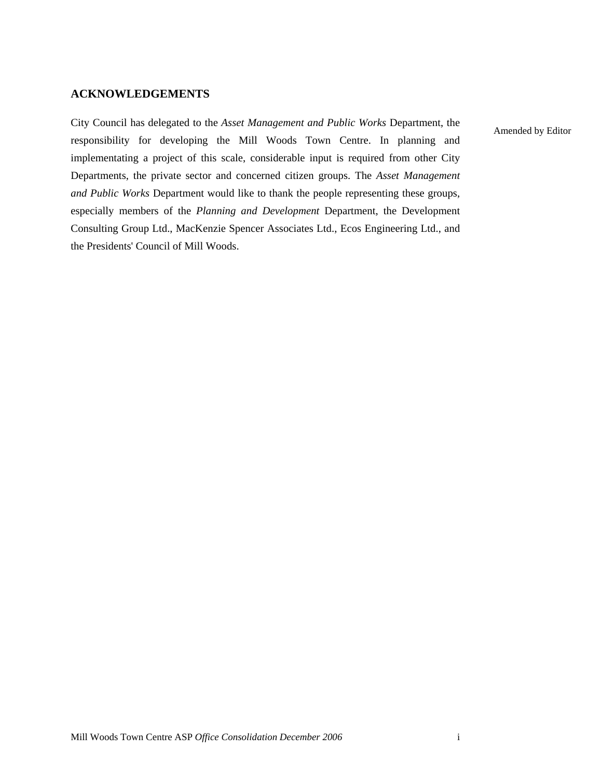#### <span id="page-3-0"></span>**ACKNOWLEDGEMENTS**

City Council has delegated to the *Asset Management and Public Works* Department, the responsibility for developing the Mill Woods Town Centre. In planning and implementating a project of this scale, considerable input is required from other City Departments, the private sector and concerned citizen groups. The *Asset Management and Public Works* Department would like to thank the people representing these groups, especially members of the *Planning and Development* Department, the Development Consulting Group Ltd., MacKenzie Spencer Associates Ltd., Ecos Engineering Ltd., and the Presidents' Council of Mill Woods.

Amended by Editor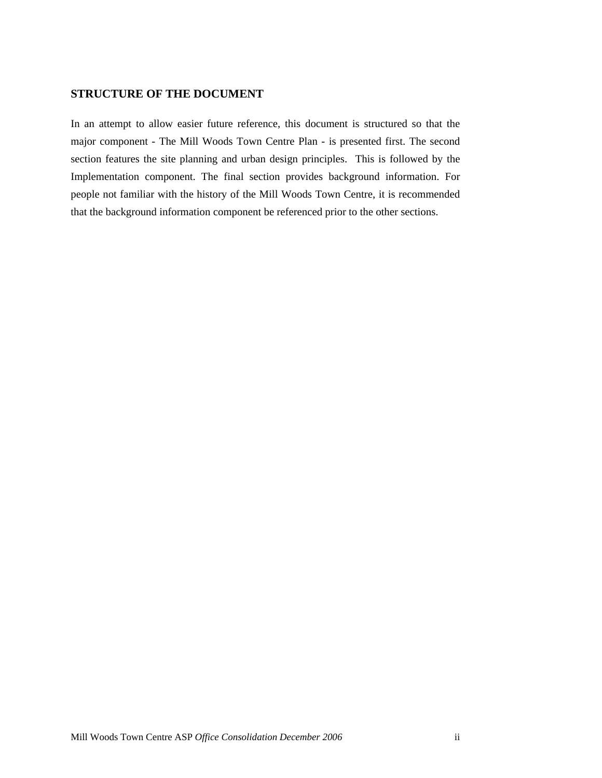#### <span id="page-4-0"></span>**STRUCTURE OF THE DOCUMENT**

In an attempt to allow easier future reference, this document is structured so that the major component - The Mill Woods Town Centre Plan - is presented first. The second section features the site planning and urban design principles. This is followed by the Implementation component. The final section provides background information. For people not familiar with the history of the Mill Woods Town Centre, it is recommended that the background information component be referenced prior to the other sections.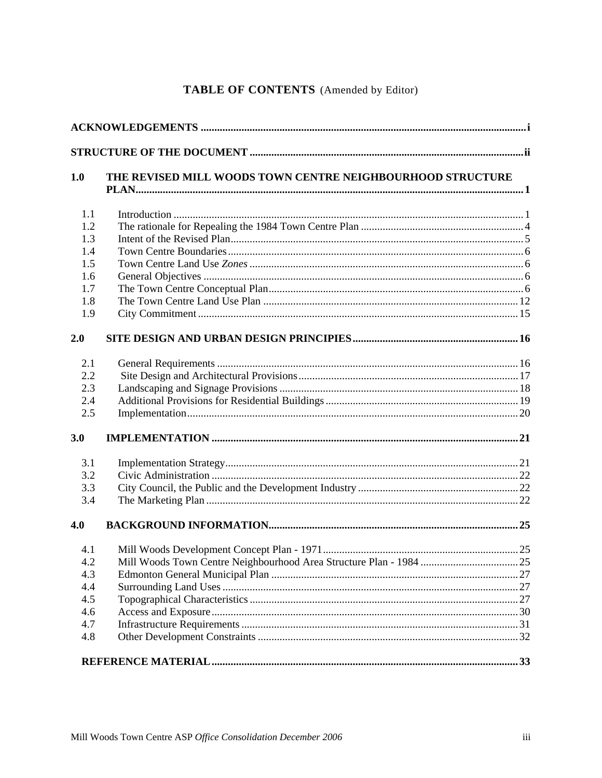### TABLE OF CONTENTS (Amended by Editor)

| 1.0 | THE REVISED MILL WOODS TOWN CENTRE NEIGHBOURHOOD STRUCTURE |  |
|-----|------------------------------------------------------------|--|
| 1.1 |                                                            |  |
| 1.2 |                                                            |  |
| 1.3 |                                                            |  |
| 1.4 |                                                            |  |
| 1.5 |                                                            |  |
| 1.6 |                                                            |  |
| 1.7 |                                                            |  |
| 1.8 |                                                            |  |
| 1.9 |                                                            |  |
| 2.0 |                                                            |  |
| 2.1 |                                                            |  |
| 2.2 |                                                            |  |
| 2.3 |                                                            |  |
| 2.4 |                                                            |  |
| 2.5 |                                                            |  |
| 3.0 |                                                            |  |
| 3.1 |                                                            |  |
| 3.2 |                                                            |  |
| 3.3 |                                                            |  |
| 3.4 |                                                            |  |
| 4.0 |                                                            |  |
| 4.1 |                                                            |  |
| 4.2 |                                                            |  |
| 4.3 |                                                            |  |
| 4.4 |                                                            |  |
| 4.5 |                                                            |  |
| 4.6 |                                                            |  |
| 4.7 |                                                            |  |
| 4.8 |                                                            |  |
|     |                                                            |  |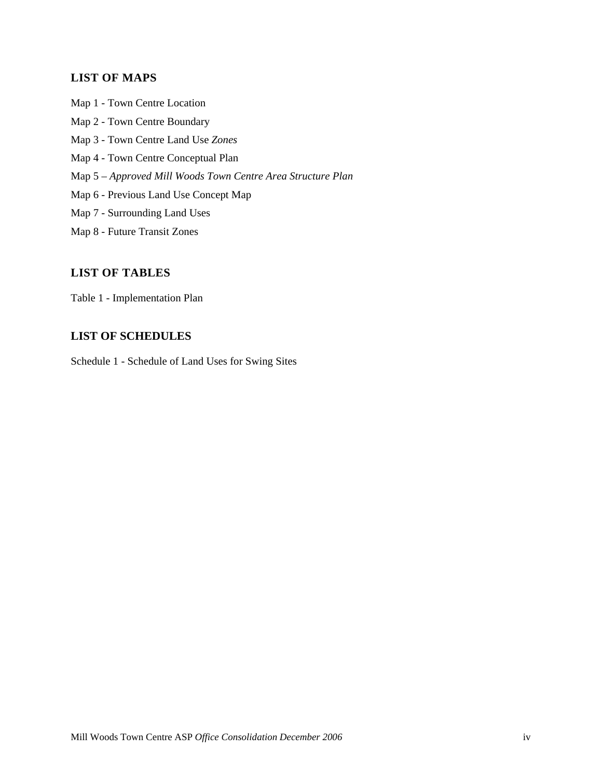#### **LIST OF MAPS**

- Map 1 Town Centre Location Map 2 - Town Centre Boundary Map 3 - Town Centre Land Use *Zones*  Map 4 - Town Centre Conceptual Plan Map 5 – *Approved Mill Woods Town Centre Area Structure Plan* Map 6 - Previous Land Use Concept Map Map 7 - Surrounding Land Uses
- Map 8 Future Transit Zones

#### **LIST OF TABLES**

Table 1 - Implementation Plan

#### **LIST OF SCHEDULES**

Schedule 1 - Schedule of Land Uses for Swing Sites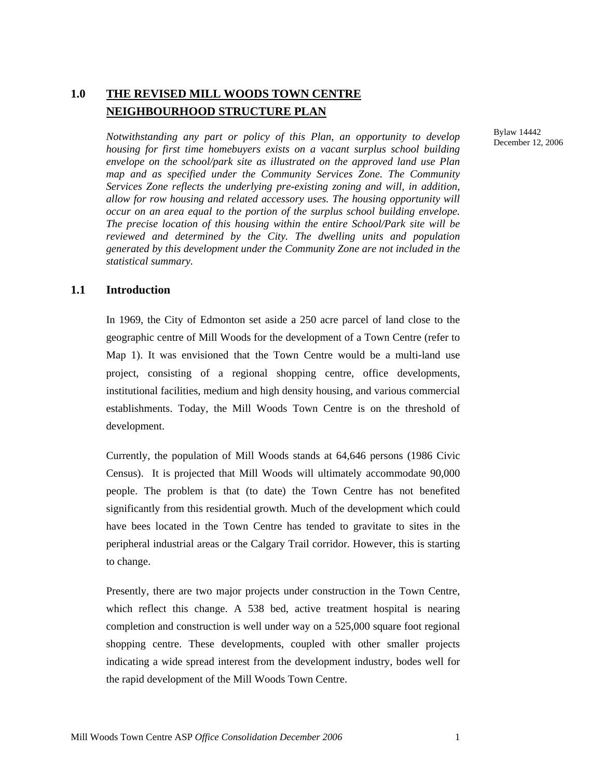### <span id="page-7-0"></span>**1.0 THE REVISED MILL WOODS TOWN CENTRE NEIGHBOURHOOD STRUCTURE PLAN**

Notwithstanding any part or policy of this Plan, an opportunity to develop <sup>Bylaw</sup> 14442<br>December 12, 2006 *housing for first time homebuyers exists on a vacant surplus school building envelope on the school/park site as illustrated on the approved land use Plan map and as specified under the Community Services Zone. The Community Services Zone reflects the underlying pre-existing zoning and will, in addition, allow for row housing and related accessory uses. The housing opportunity will occur on an area equal to the portion of the surplus school building envelope. The precise location of this housing within the entire School/Park site will be reviewed and determined by the City. The dwelling units and population generated by this development under the Community Zone are not included in the statistical summary.* 

#### <span id="page-7-1"></span>**1.1 Introduction**

In 1969, the City of Edmonton set aside a 250 acre parcel of land close to the geographic centre of Mill Woods for the development of a Town Centre (refer to Map 1). It was envisioned that the Town Centre would be a multi-land use project, consisting of a regional shopping centre, office developments, institutional facilities, medium and high density housing, and various commercial establishments. Today, the Mill Woods Town Centre is on the threshold of development.

Currently, the population of Mill Woods stands at 64,646 persons (1986 Civic Census). It is projected that Mill Woods will ultimately accommodate 90,000 people. The problem is that (to date) the Town Centre has not benefited significantly from this residential growth. Much of the development which could have bees located in the Town Centre has tended to gravitate to sites in the peripheral industrial areas or the Calgary Trail corridor. However, this is starting to change.

Presently, there are two major projects under construction in the Town Centre, which reflect this change. A 538 bed, active treatment hospital is nearing completion and construction is well under way on a 525,000 square foot regional shopping centre. These developments, coupled with other smaller projects indicating a wide spread interest from the development industry, bodes well for the rapid development of the Mill Woods Town Centre.

Bylaw 14442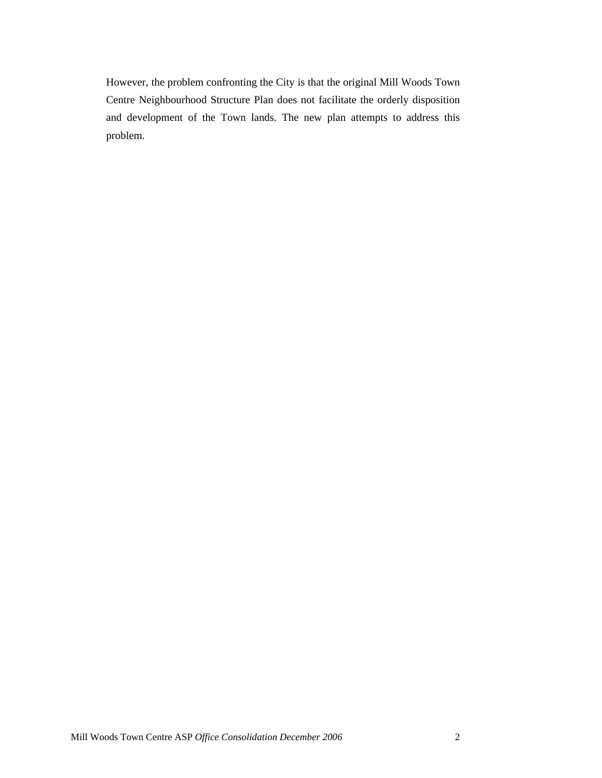However, the problem confronting the City is that the original Mill Woods Town Centre Neighbourhood Structure Plan does not facilitate the orderly disposition and development of the Town lands. The new plan attempts to address this problem.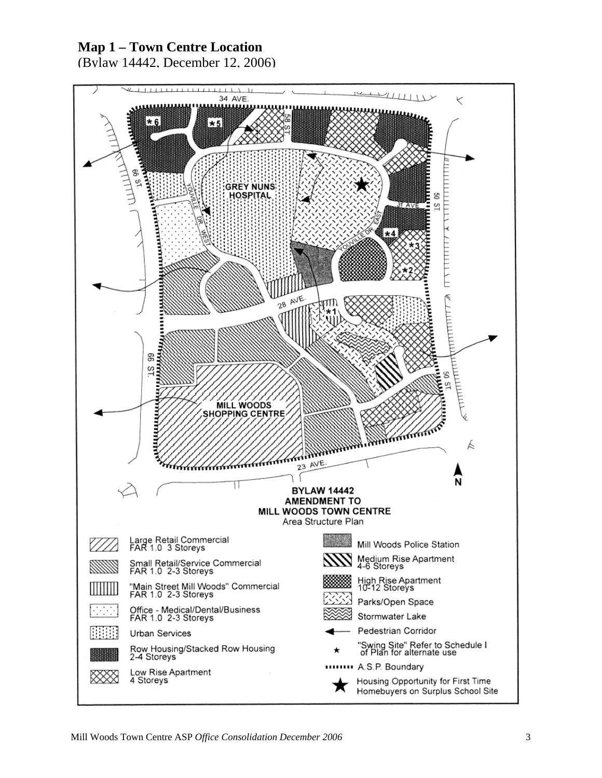# **Map 1 – Town Centre Location**

(Bylaw 14442, December 12, 2006)

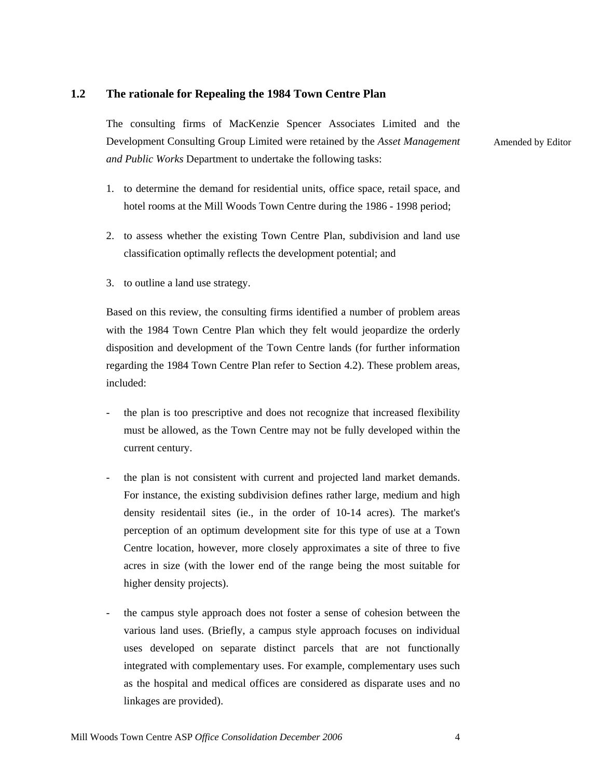#### <span id="page-10-0"></span>**1.2 The rationale for Repealing the 1984 Town Centre Plan**

The consulting firms of MacKenzie Spencer Associates Limited and the Development Consulting Group Limited were retained by the *Asset Management and Public Works* Department to undertake the following tasks:

1. to determine the demand for residential units, office space, retail space, and hotel rooms at the Mill Woods Town Centre during the 1986 - 1998 period;

- 2. to assess whether the existing Town Centre Plan, subdivision and land use classification optimally reflects the development potential; and
- 3. to outline a land use strategy.

Based on this review, the consulting firms identified a number of problem areas with the 1984 Town Centre Plan which they felt would jeopardize the orderly disposition and development of the Town Centre lands (for further information regarding the 1984 Town Centre Plan refer to Section 4.2). These problem areas, included:

- the plan is too prescriptive and does not recognize that increased flexibility must be allowed, as the Town Centre may not be fully developed within the current century.
- the plan is not consistent with current and projected land market demands. For instance, the existing subdivision defines rather large, medium and high density residentail sites (ie., in the order of 10-14 acres). The market's perception of an optimum development site for this type of use at a Town Centre location, however, more closely approximates a site of three to five acres in size (with the lower end of the range being the most suitable for higher density projects).
- the campus style approach does not foster a sense of cohesion between the various land uses. (Briefly, a campus style approach focuses on individual uses developed on separate distinct parcels that are not functionally integrated with complementary uses. For example, complementary uses such as the hospital and medical offices are considered as disparate uses and no linkages are provided).

Amended by Editor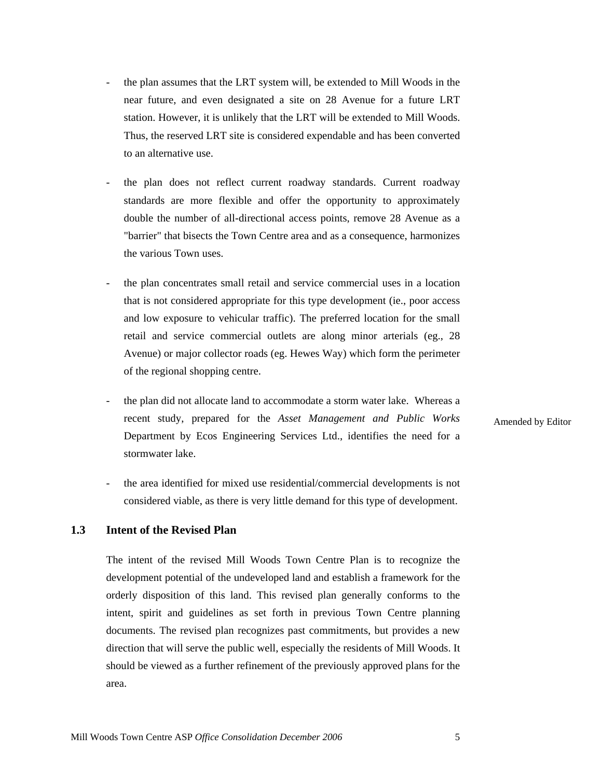- the plan assumes that the LRT system will, be extended to Mill Woods in the near future, and even designated a site on 28 Avenue for a future LRT station. However, it is unlikely that the LRT will be extended to Mill Woods. Thus, the reserved LRT site is considered expendable and has been converted to an alternative use.
- the plan does not reflect current roadway standards. Current roadway standards are more flexible and offer the opportunity to approximately double the number of all-directional access points, remove 28 Avenue as a "barrier" that bisects the Town Centre area and as a consequence, harmonizes the various Town uses.
- the plan concentrates small retail and service commercial uses in a location that is not considered appropriate for this type development (ie., poor access and low exposure to vehicular traffic). The preferred location for the small retail and service commercial outlets are along minor arterials (eg., 28 Avenue) or major collector roads (eg. Hewes Way) which form the perimeter of the regional shopping centre.
- the plan did not allocate land to accommodate a storm water lake. Whereas a recent study, prepared for the *Asset Management and Public Works* Department by Ecos Engineering Services Ltd., identifies the need for a stormwater lake.
- the area identified for mixed use residential/commercial developments is not considered viable, as there is very little demand for this type of development.

#### <span id="page-11-0"></span>**1.3 Intent of the Revised Plan**

The intent of the revised Mill Woods Town Centre Plan is to recognize the development potential of the undeveloped land and establish a framework for the orderly disposition of this land. This revised plan generally conforms to the intent, spirit and guidelines as set forth in previous Town Centre planning documents. The revised plan recognizes past commitments, but provides a new direction that will serve the public well, especially the residents of Mill Woods. It should be viewed as a further refinement of the previously approved plans for the area.

Amended by Editor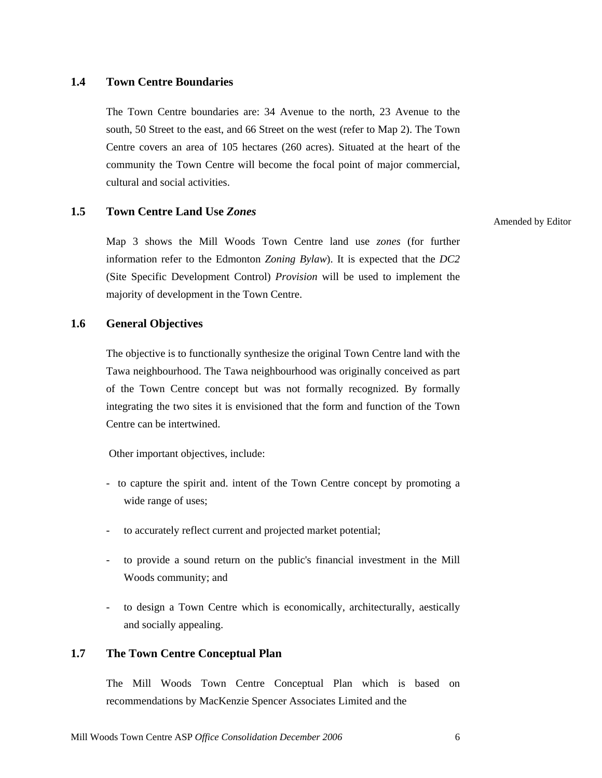#### <span id="page-12-0"></span>**1.4 Town Centre Boundaries**

The Town Centre boundaries are: 34 Avenue to the north, 23 Avenue to the south, 50 Street to the east, and 66 Street on the west (refer to Map 2). The Town Centre covers an area of 105 hectares (260 acres). Situated at the heart of the community the Town Centre will become the focal point of major commercial, cultural and social activities.

#### <span id="page-12-1"></span>**1.5 Town Centre Land Use** *Zones*

Amended by Editor

Map 3 shows the Mill Woods Town Centre land use *zones* (for further information refer to the Edmonton *Zoning Bylaw*). It is expected that the *DC2* (Site Specific Development Control) *Provision* will be used to implement the majority of development in the Town Centre.

#### <span id="page-12-2"></span>**1.6 General Objectives**

The objective is to functionally synthesize the original Town Centre land with the Tawa neighbourhood. The Tawa neighbourhood was originally conceived as part of the Town Centre concept but was not formally recognized. By formally integrating the two sites it is envisioned that the form and function of the Town Centre can be intertwined.

Other important objectives, include:

- to capture the spirit and. intent of the Town Centre concept by promoting a wide range of uses;
- to accurately reflect current and projected market potential;
- to provide a sound return on the public's financial investment in the Mill Woods community; and
- to design a Town Centre which is economically, architecturally, aestically and socially appealing.

#### <span id="page-12-3"></span>**1.7 The Town Centre Conceptual Plan**

The Mill Woods Town Centre Conceptual Plan which is based on recommendations by MacKenzie Spencer Associates Limited and the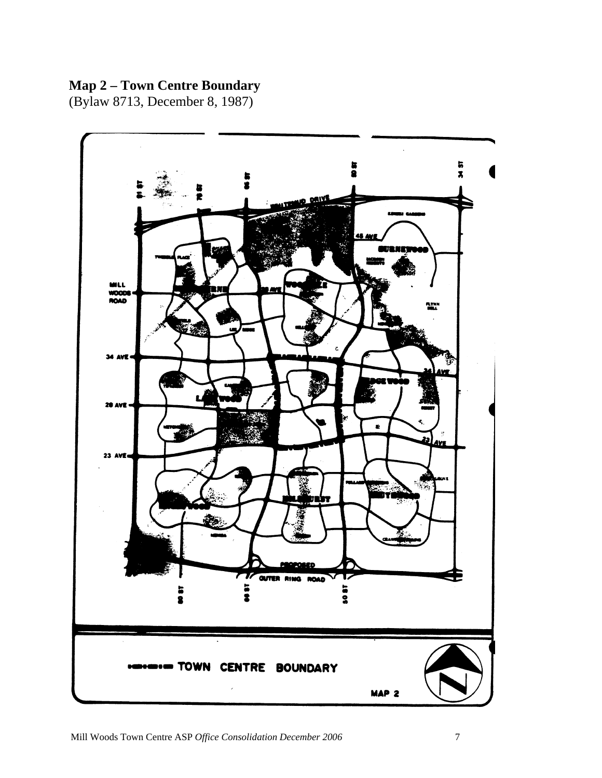# **Map 2 – Town Centre Boundary**

(Bylaw 8713, December 8, 1987)

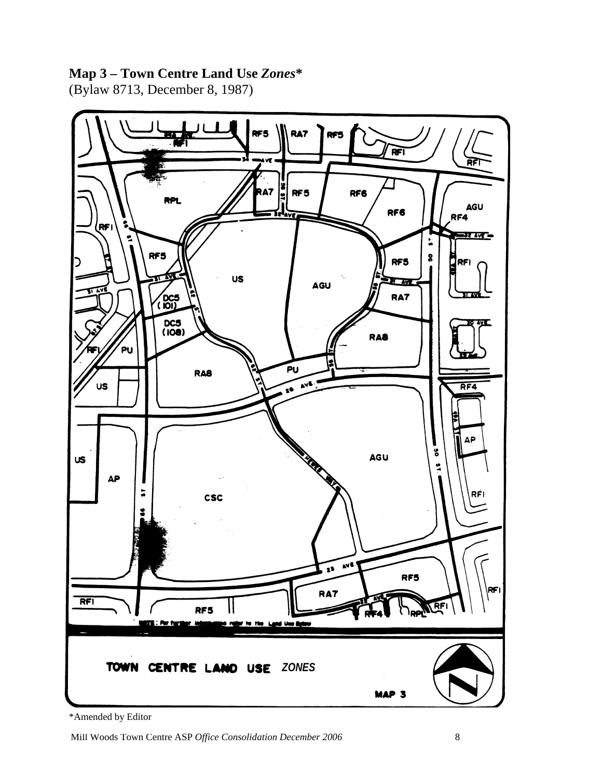# **Map 3 – Town Centre Land Use** *Zones***\***

(Bylaw 8713, December 8, 1987)



\*Amended by Editor

Mill Woods Town Centre ASP *Office Consolidation December 2006* 8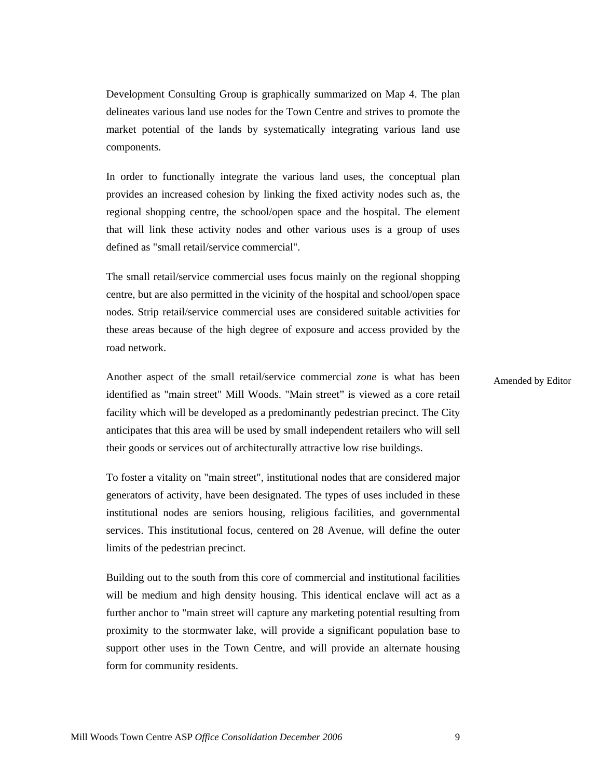Development Consulting Group is graphically summarized on Map 4. The plan delineates various land use nodes for the Town Centre and strives to promote the market potential of the lands by systematically integrating various land use components.

In order to functionally integrate the various land uses, the conceptual plan provides an increased cohesion by linking the fixed activity nodes such as, the regional shopping centre, the school/open space and the hospital. The element that will link these activity nodes and other various uses is a group of uses defined as "small retail/service commercial".

The small retail/service commercial uses focus mainly on the regional shopping centre, but are also permitted in the vicinity of the hospital and school/open space nodes. Strip retail/service commercial uses are considered suitable activities for these areas because of the high degree of exposure and access provided by the road network.

Another aspect of the small retail/service commercial *zone* is what has been identified as "main street" Mill Woods. "Main street" is viewed as a core retail facility which will be developed as a predominantly pedestrian precinct. The City anticipates that this area will be used by small independent retailers who will sell their goods or services out of architecturally attractive low rise buildings.

To foster a vitality on "main street", institutional nodes that are considered major generators of activity, have been designated. The types of uses included in these institutional nodes are seniors housing, religious facilities, and governmental services. This institutional focus, centered on 28 Avenue, will define the outer limits of the pedestrian precinct.

Building out to the south from this core of commercial and institutional facilities will be medium and high density housing. This identical enclave will act as a further anchor to "main street will capture any marketing potential resulting from proximity to the stormwater lake, will provide a significant population base to support other uses in the Town Centre, and will provide an alternate housing form for community residents.

Amended by Editor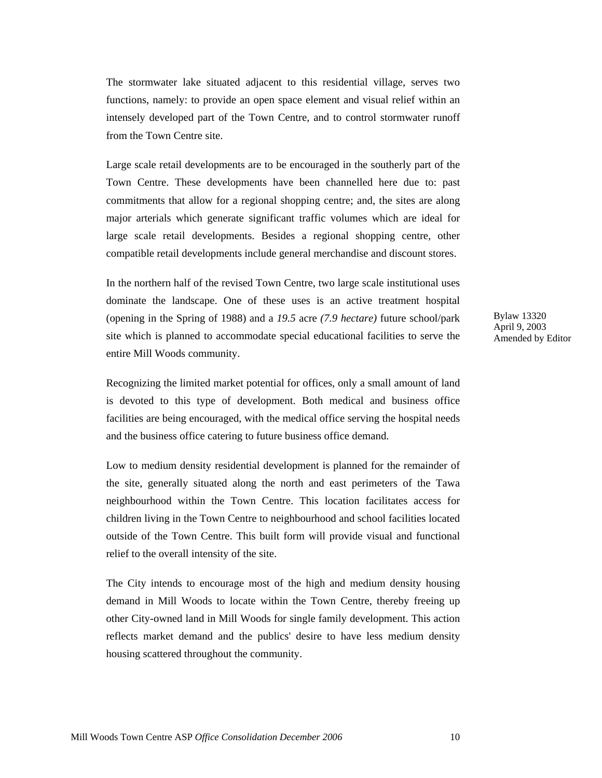The stormwater lake situated adjacent to this residential village, serves two functions, namely: to provide an open space element and visual relief within an intensely developed part of the Town Centre, and to control stormwater runoff from the Town Centre site.

Large scale retail developments are to be encouraged in the southerly part of the Town Centre. These developments have been channelled here due to: past commitments that allow for a regional shopping centre; and, the sites are along major arterials which generate significant traffic volumes which are ideal for large scale retail developments. Besides a regional shopping centre, other compatible retail developments include general merchandise and discount stores.

In the northern half of the revised Town Centre, two large scale institutional uses dominate the landscape. One of these uses is an active treatment hospital (opening in the Spring of 1988) and a *19.5* acre *(7.9 hectare)* future school/park site which is planned to accommodate special educational facilities to serve the entire Mill Woods community.

Recognizing the limited market potential for offices, only a small amount of land is devoted to this type of development. Both medical and business office facilities are being encouraged, with the medical office serving the hospital needs and the business office catering to future business office demand.

Low to medium density residential development is planned for the remainder of the site, generally situated along the north and east perimeters of the Tawa neighbourhood within the Town Centre. This location facilitates access for children living in the Town Centre to neighbourhood and school facilities located outside of the Town Centre. This built form will provide visual and functional relief to the overall intensity of the site.

The City intends to encourage most of the high and medium density housing demand in Mill Woods to locate within the Town Centre, thereby freeing up other City-owned land in Mill Woods for single family development. This action reflects market demand and the publics' desire to have less medium density housing scattered throughout the community.

Bylaw 13320 April 9, 2003 Amended by Editor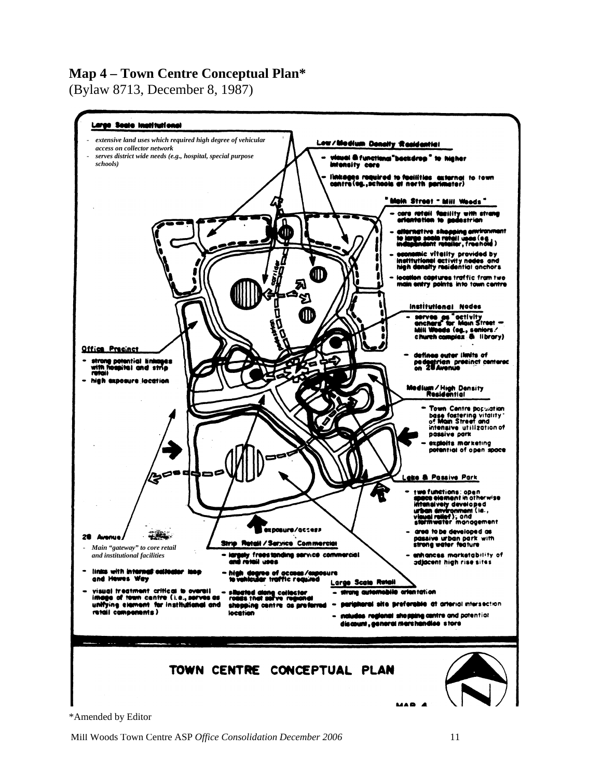### **Map 4 – Town Centre Conceptual Plan\***

(Bylaw 8713, December 8, 1987)



Mill Woods Town Centre ASP *Office Consolidation December 2006* 11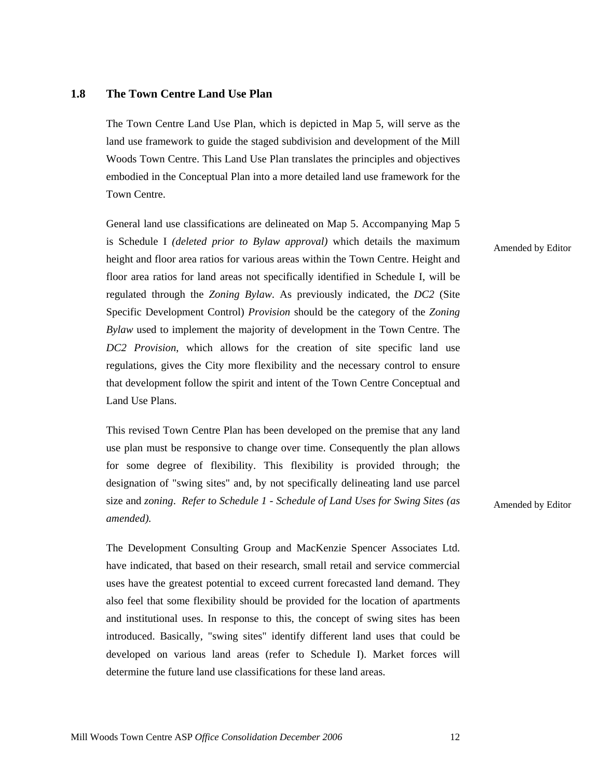#### <span id="page-18-0"></span>**1.8 The Town Centre Land Use Plan**

The Town Centre Land Use Plan, which is depicted in Map 5, will serve as the land use framework to guide the staged subdivision and development of the Mill Woods Town Centre. This Land Use Plan translates the principles and objectives embodied in the Conceptual Plan into a more detailed land use framework for the Town Centre.

General land use classifications are delineated on Map 5. Accompanying Map 5 is Schedule I *(deleted prior to Bylaw approval)* which details the maximum height and floor area ratios for various areas within the Town Centre. Height and floor area ratios for land areas not specifically identified in Schedule I, will be regulated through the *Zoning Bylaw*. As previously indicated, the *DC2* (Site Specific Development Control) *Provision* should be the category of the *Zoning Bylaw* used to implement the majority of development in the Town Centre. The *DC2 Provision*, which allows for the creation of site specific land use regulations, gives the City more flexibility and the necessary control to ensure that development follow the spirit and intent of the Town Centre Conceptual and Land Use Plans.

This revised Town Centre Plan has been developed on the premise that any land use plan must be responsive to change over time. Consequently the plan allows for some degree of flexibility. This flexibility is provided through; the designation of "swing sites" and, by not specifically delineating land use parcel size and *zoning*. *Refer to Schedule 1 - Schedule of Land Uses for Swing Sites (as amended).* 

The Development Consulting Group and MacKenzie Spencer Associates Ltd. have indicated, that based on their research, small retail and service commercial uses have the greatest potential to exceed current forecasted land demand. They also feel that some flexibility should be provided for the location of apartments and institutional uses. In response to this, the concept of swing sites has been introduced. Basically, "swing sites" identify different land uses that could be developed on various land areas (refer to Schedule I). Market forces will determine the future land use classifications for these land areas.

Amended by Editor

Amended by Editor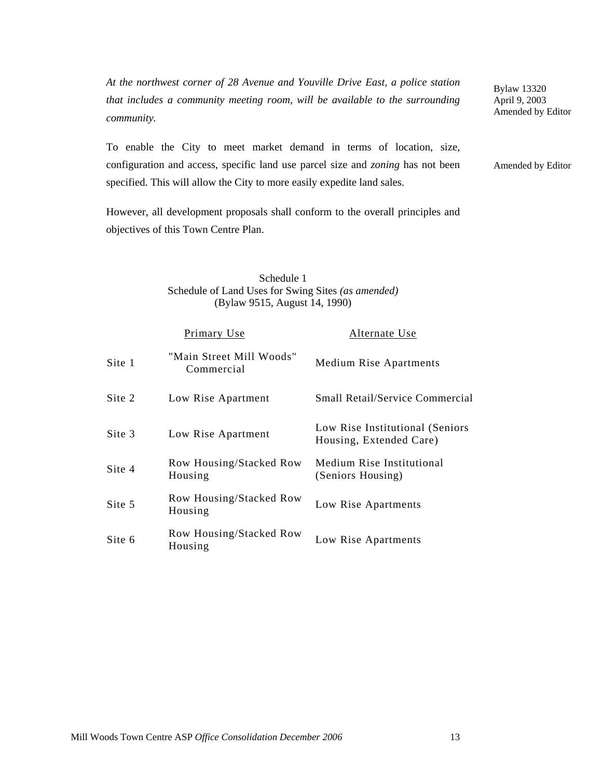*At the northwest corner of 28 Avenue and Youville Drive East, a police station that includes a community meeting room, will be available to the surrounding community.*

To enable the City to meet market demand in terms of location, size, configuration and access, specific land use parcel size and *zoning* has not been specified. This will allow the City to more easily expedite land sales.

However, all development proposals shall conform to the overall principles and objectives of this Town Centre Plan.

#### Schedule 1 Schedule of Land Uses for Swing Sites *(as amended)*  (Bylaw 9515, August 14, 1990)

|        | Primary Use                            | Alternate Use                                              |
|--------|----------------------------------------|------------------------------------------------------------|
| Site 1 | "Main Street Mill Woods"<br>Commercial | <b>Medium Rise Apartments</b>                              |
| Site 2 | Low Rise Apartment                     | <b>Small Retail/Service Commercial</b>                     |
| Site 3 | Low Rise Apartment                     | Low Rise Institutional (Seniors<br>Housing, Extended Care) |
| Site 4 | Row Housing/Stacked Row<br>Housing     | Medium Rise Institutional<br>(Seniors Housing)             |
| Site 5 | Row Housing/Stacked Row<br>Housing     | Low Rise Apartments                                        |
| Site 6 | Row Housing/Stacked Row<br>Housing     | Low Rise Apartments                                        |

Bylaw 13320 April 9, 2003 Amended by Editor

Amended by Editor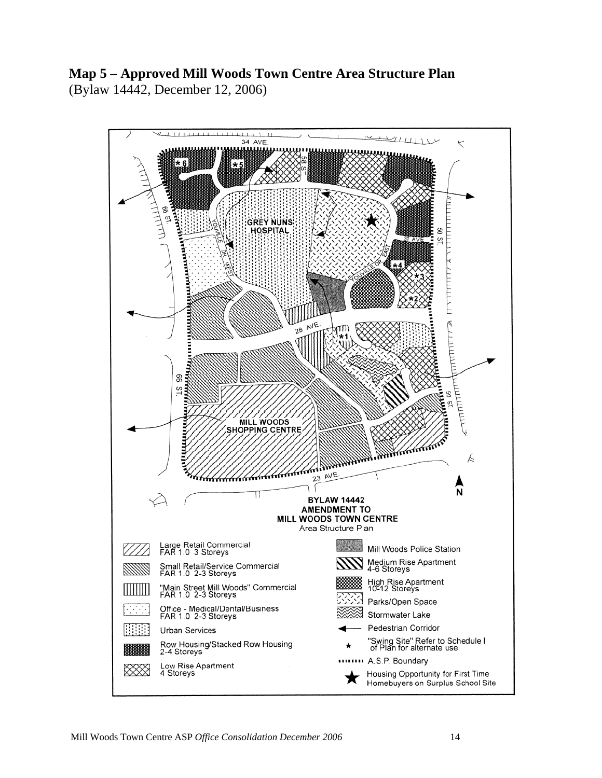# **Map 5 – Approved Mill Woods Town Centre Area Structure Plan**

(Bylaw 14442, December 12, 2006)

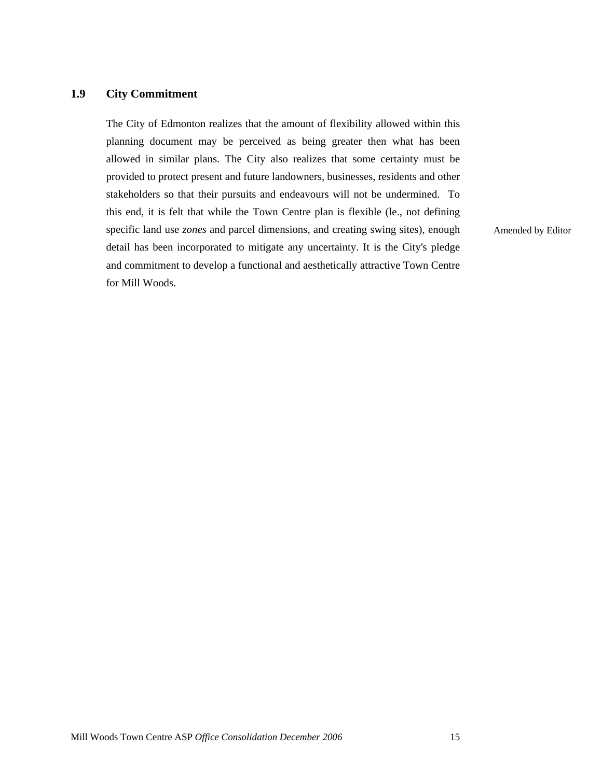#### <span id="page-21-0"></span>**1.9 City Commitment**

The City of Edmonton realizes that the amount of flexibility allowed within this planning document may be perceived as being greater then what has been allowed in similar plans. The City also realizes that some certainty must be provided to protect present and future landowners, businesses, residents and other stakeholders so that their pursuits and endeavours will not be undermined. To this end, it is felt that while the Town Centre plan is flexible (le., not defining specific land use *zones* and parcel dimensions, and creating swing sites), enough detail has been incorporated to mitigate any uncertainty. It is the City's pledge and commitment to develop a functional and aesthetically attractive Town Centre for Mill Woods.

Amended by Editor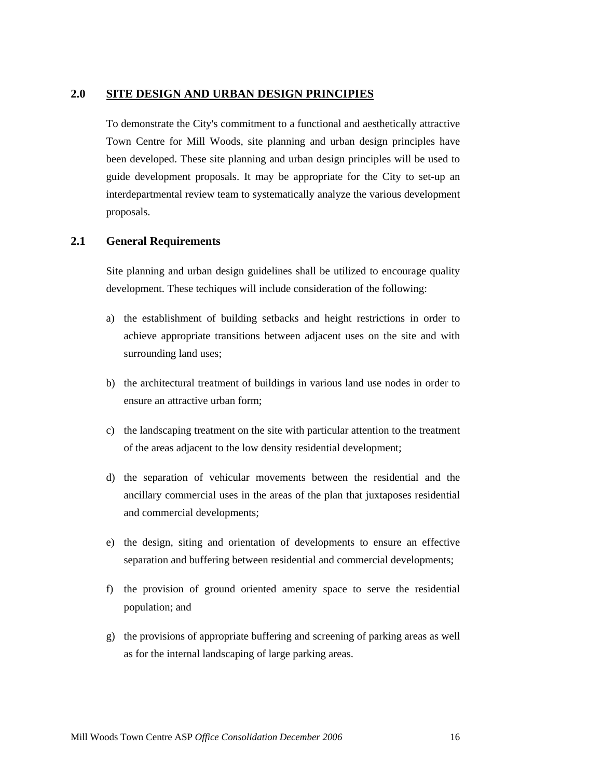#### <span id="page-22-0"></span>**2.0 SITE DESIGN AND URBAN DESIGN PRINCIPIES**

To demonstrate the City's commitment to a functional and aesthetically attractive Town Centre for Mill Woods, site planning and urban design principles have been developed. These site planning and urban design principles will be used to guide development proposals. It may be appropriate for the City to set-up an interdepartmental review team to systematically analyze the various development proposals.

#### <span id="page-22-1"></span>**2.1 General Requirements**

Site planning and urban design guidelines shall be utilized to encourage quality development. These techiques will include consideration of the following:

- a) the establishment of building setbacks and height restrictions in order to achieve appropriate transitions between adjacent uses on the site and with surrounding land uses;
- b) the architectural treatment of buildings in various land use nodes in order to ensure an attractive urban form;
- c) the landscaping treatment on the site with particular attention to the treatment of the areas adjacent to the low density residential development;
- d) the separation of vehicular movements between the residential and the ancillary commercial uses in the areas of the plan that juxtaposes residential and commercial developments;
- e) the design, siting and orientation of developments to ensure an effective separation and buffering between residential and commercial developments;
- f) the provision of ground oriented amenity space to serve the residential population; and
- g) the provisions of appropriate buffering and screening of parking areas as well as for the internal landscaping of large parking areas.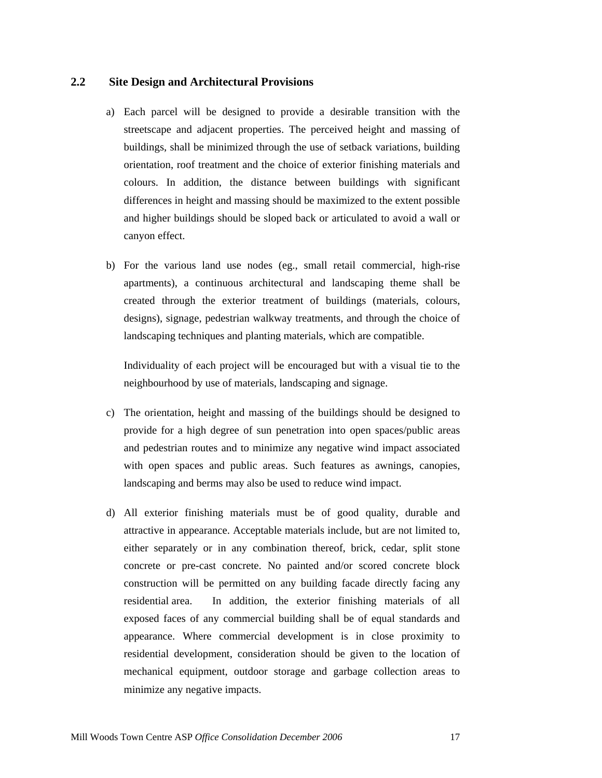#### <span id="page-23-0"></span>**2.2 Site Design and Architectural Provisions**

- a) Each parcel will be designed to provide a desirable transition with the streetscape and adjacent properties. The perceived height and massing of buildings, shall be minimized through the use of setback variations, building orientation, roof treatment and the choice of exterior finishing materials and colours. In addition, the distance between buildings with significant differences in height and massing should be maximized to the extent possible and higher buildings should be sloped back or articulated to avoid a wall or canyon effect.
- b) For the various land use nodes (eg., small retail commercial, high-rise apartments), a continuous architectural and landscaping theme shall be created through the exterior treatment of buildings (materials, colours, designs), signage, pedestrian walkway treatments, and through the choice of landscaping techniques and planting materials, which are compatible.

Individuality of each project will be encouraged but with a visual tie to the neighbourhood by use of materials, landscaping and signage.

- c) The orientation, height and massing of the buildings should be designed to provide for a high degree of sun penetration into open spaces/public areas and pedestrian routes and to minimize any negative wind impact associated with open spaces and public areas. Such features as awnings, canopies, landscaping and berms may also be used to reduce wind impact.
- d) All exterior finishing materials must be of good quality, durable and attractive in appearance. Acceptable materials include, but are not limited to, either separately or in any combination thereof, brick, cedar, split stone concrete or pre-cast concrete. No painted and/or scored concrete block construction will be permitted on any building facade directly facing any residential area. In addition, the exterior finishing materials of all exposed faces of any commercial building shall be of equal standards and appearance. Where commercial development is in close proximity to residential development, consideration should be given to the location of mechanical equipment, outdoor storage and garbage collection areas to minimize any negative impacts.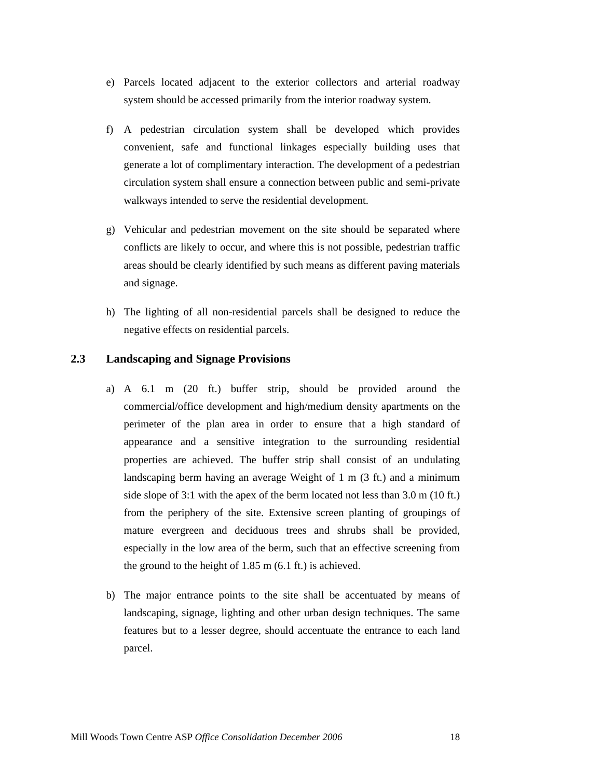- e) Parcels located adjacent to the exterior collectors and arterial roadway system should be accessed primarily from the interior roadway system.
- f) A pedestrian circulation system shall be developed which provides convenient, safe and functional linkages especially building uses that generate a lot of complimentary interaction. The development of a pedestrian circulation system shall ensure a connection between public and semi-private walkways intended to serve the residential development.
- g) Vehicular and pedestrian movement on the site should be separated where conflicts are likely to occur, and where this is not possible, pedestrian traffic areas should be clearly identified by such means as different paving materials and signage.
- h) The lighting of all non-residential parcels shall be designed to reduce the negative effects on residential parcels.

#### <span id="page-24-0"></span>**2.3 Landscaping and Signage Provisions**

- a) A 6.1 m (20 ft.) buffer strip, should be provided around the commercial/office development and high/medium density apartments on the perimeter of the plan area in order to ensure that a high standard of appearance and a sensitive integration to the surrounding residential properties are achieved. The buffer strip shall consist of an undulating landscaping berm having an average Weight of 1 m (3 ft.) and a minimum side slope of 3:1 with the apex of the berm located not less than 3.0 m (10 ft.) from the periphery of the site. Extensive screen planting of groupings of mature evergreen and deciduous trees and shrubs shall be provided, especially in the low area of the berm, such that an effective screening from the ground to the height of 1.85 m (6.1 ft.) is achieved.
- b) The major entrance points to the site shall be accentuated by means of landscaping, signage, lighting and other urban design techniques. The same features but to a lesser degree, should accentuate the entrance to each land parcel.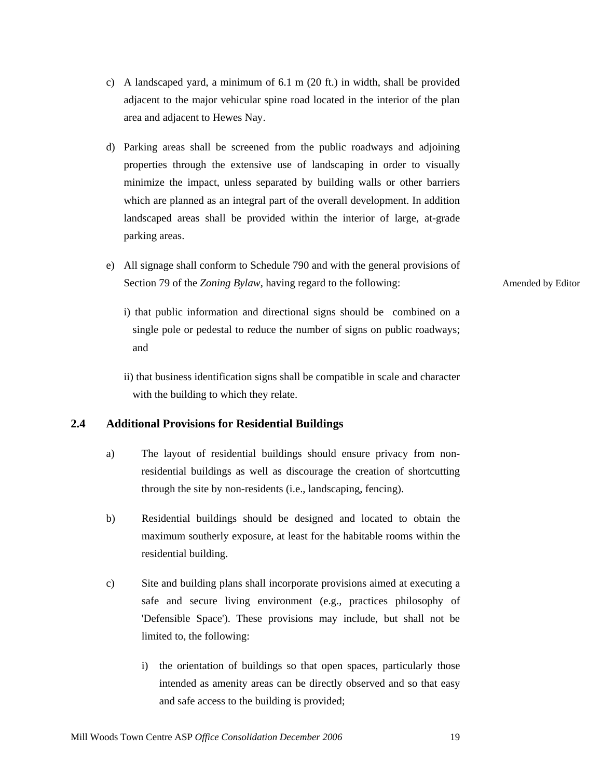- c) A landscaped yard, a minimum of 6.1 m (20 ft.) in width, shall be provided adjacent to the major vehicular spine road located in the interior of the plan area and adjacent to Hewes Nay.
- d) Parking areas shall be screened from the public roadways and adjoining properties through the extensive use of landscaping in order to visually minimize the impact, unless separated by building walls or other barriers which are planned as an integral part of the overall development. In addition landscaped areas shall be provided within the interior of large, at-grade parking areas.
- e) All signage shall conform to Schedule 790 and with the general provisions of Section 79 of the *Zoning Bylaw*, having regard to the following:
	- i) that public information and directional signs should be combined on a single pole or pedestal to reduce the number of signs on public roadways; and
	- ii) that business identification signs shall be compatible in scale and character with the building to which they relate.

#### <span id="page-25-0"></span>**2.4 Additional Provisions for Residential Buildings**

- a) The layout of residential buildings should ensure privacy from nonresidential buildings as well as discourage the creation of shortcutting through the site by non-residents (i.e., landscaping, fencing).
- b) Residential buildings should be designed and located to obtain the maximum southerly exposure, at least for the habitable rooms within the residential building.
- c) Site and building plans shall incorporate provisions aimed at executing a safe and secure living environment (e.g., practices philosophy of 'Defensible Space'). These provisions may include, but shall not be limited to, the following:
	- i) the orientation of buildings so that open spaces, particularly those intended as amenity areas can be directly observed and so that easy and safe access to the building is provided;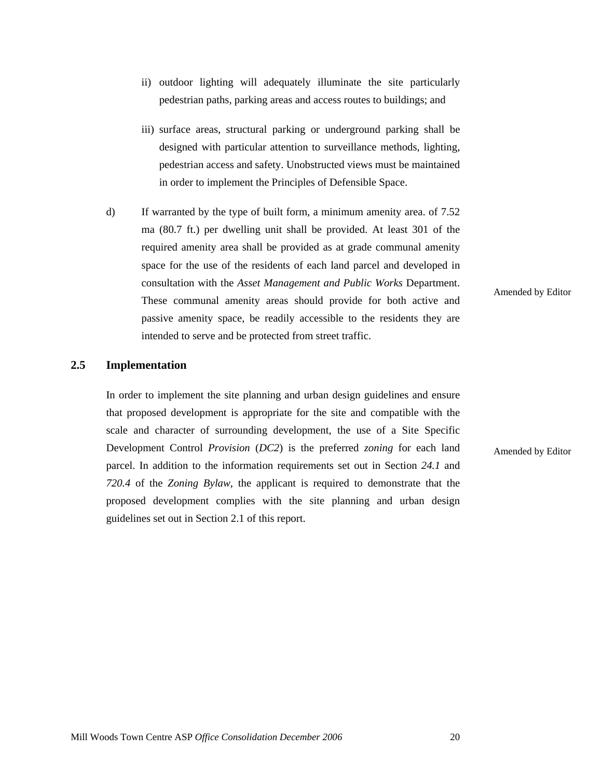- ii) outdoor lighting will adequately illuminate the site particularly pedestrian paths, parking areas and access routes to buildings; and
- iii) surface areas, structural parking or underground parking shall be designed with particular attention to surveillance methods, lighting, pedestrian access and safety. Unobstructed views must be maintained in order to implement the Principles of Defensible Space.
- d) If warranted by the type of built form, a minimum amenity area. of 7.52 ma (80.7 ft.) per dwelling unit shall be provided. At least 301 of the required amenity area shall be provided as at grade communal amenity space for the use of the residents of each land parcel and developed in consultation with the *Asset Management and Public Works* Department. These communal amenity areas should provide for both active and passive amenity space, be readily accessible to the residents they are intended to serve and be protected from street traffic.

#### <span id="page-26-0"></span>**2.5 Implementation**

In order to implement the site planning and urban design guidelines and ensure that proposed development is appropriate for the site and compatible with the scale and character of surrounding development, the use of a Site Specific Development Control *Provision* (*DC2*) is the preferred *zoning* for each land parcel. In addition to the information requirements set out in Section *24.1* and *720.4* of the *Zoning Bylaw*, the applicant is required to demonstrate that the proposed development complies with the site planning and urban design guidelines set out in Section 2.1 of this report.

Amended by Editor

Amended by Editor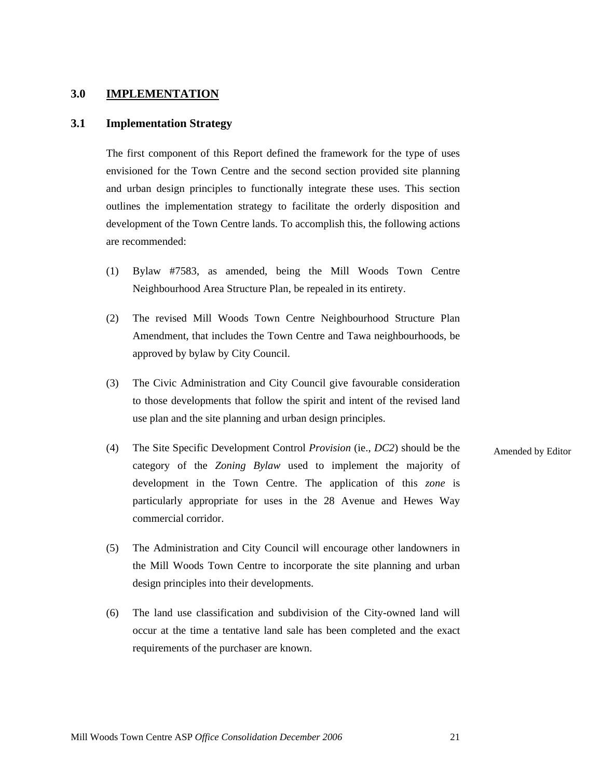#### <span id="page-27-0"></span>**3.0 IMPLEMENTATION**

#### <span id="page-27-1"></span>**3.1 Implementation Strategy**

The first component of this Report defined the framework for the type of uses envisioned for the Town Centre and the second section provided site planning and urban design principles to functionally integrate these uses. This section outlines the implementation strategy to facilitate the orderly disposition and development of the Town Centre lands. To accomplish this, the following actions are recommended:

- (1) Bylaw #7583, as amended, being the Mill Woods Town Centre Neighbourhood Area Structure Plan, be repealed in its entirety.
- (2) The revised Mill Woods Town Centre Neighbourhood Structure Plan Amendment, that includes the Town Centre and Tawa neighbourhoods, be approved by bylaw by City Council.
- (3) The Civic Administration and City Council give favourable consideration to those developments that follow the spirit and intent of the revised land use plan and the site planning and urban design principles.
- (4) The Site Specific Development Control *Provision* (ie., *DC2*) should be the category of the *Zoning Bylaw* used to implement the majority of development in the Town Centre. The application of this *zone* is particularly appropriate for uses in the 28 Avenue and Hewes Way commercial corridor. Amended by Editor
- (5) The Administration and City Council will encourage other landowners in the Mill Woods Town Centre to incorporate the site planning and urban design principles into their developments.
- (6) The land use classification and subdivision of the City-owned land will occur at the time a tentative land sale has been completed and the exact requirements of the purchaser are known.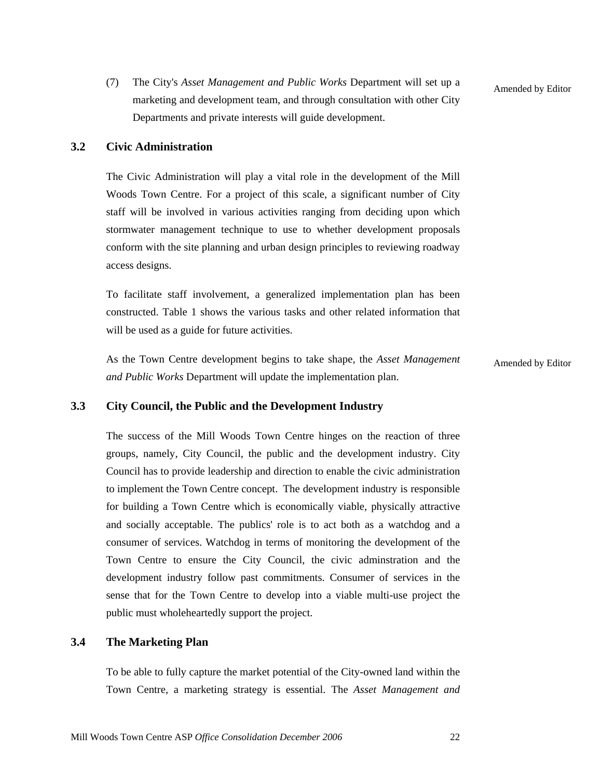(7) The City's *Asset Management and Public Works* Department will set up a marketing and development team, and through consultation with other City Departments and private interests will guide development.

Amended by Editor

#### <span id="page-28-0"></span>**3.2 Civic Administration**

The Civic Administration will play a vital role in the development of the Mill Woods Town Centre. For a project of this scale, a significant number of City staff will be involved in various activities ranging from deciding upon which stormwater management technique to use to whether development proposals conform with the site planning and urban design principles to reviewing roadway access designs.

To facilitate staff involvement, a generalized implementation plan has been constructed. Table 1 shows the various tasks and other related information that will be used as a guide for future activities.

As the Town Centre development begins to take shape, the *Asset Management and Public Works* Department will update the implementation plan.

Amended by Editor

#### <span id="page-28-1"></span>**3.3 City Council, the Public and the Development Industry**

The success of the Mill Woods Town Centre hinges on the reaction of three groups, namely, City Council, the public and the development industry. City Council has to provide leadership and direction to enable the civic administration to implement the Town Centre concept. The development industry is responsible for building a Town Centre which is economically viable, physically attractive and socially acceptable. The publics' role is to act both as a watchdog and a consumer of services. Watchdog in terms of monitoring the development of the Town Centre to ensure the City Council, the civic adminstration and the development industry follow past commitments. Consumer of services in the sense that for the Town Centre to develop into a viable multi-use project the public must wholeheartedly support the project.

#### <span id="page-28-2"></span>**3.4 The Marketing Plan**

To be able to fully capture the market potential of the City-owned land within the Town Centre, a marketing strategy is essential. The *Asset Management and*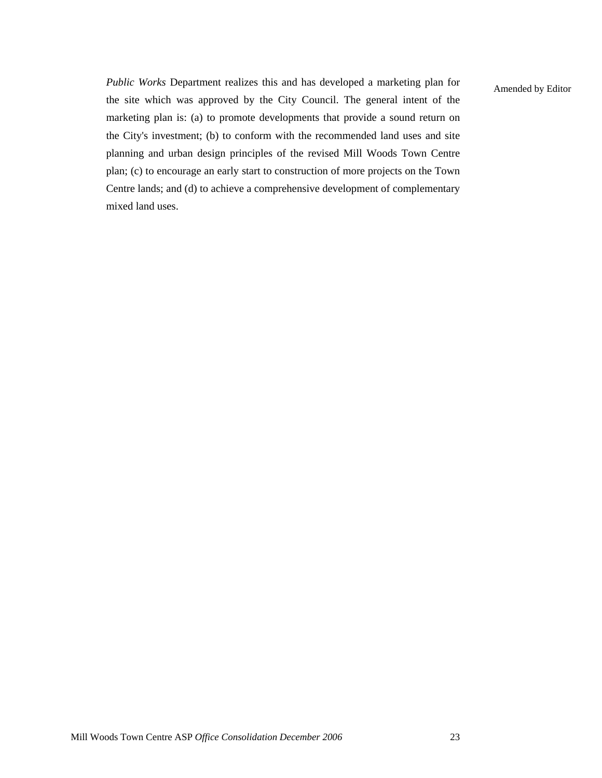*Public Works* Department realizes this and has developed a marketing plan for the site which was approved by the City Council. The general intent of the marketing plan is: (a) to promote developments that provide a sound return on the City's investment; (b) to conform with the recommended land uses and site planning and urban design principles of the revised Mill Woods Town Centre plan; (c) to encourage an early start to construction of more projects on the Town Centre lands; and (d) to achieve a comprehensive development of complementary mixed land uses.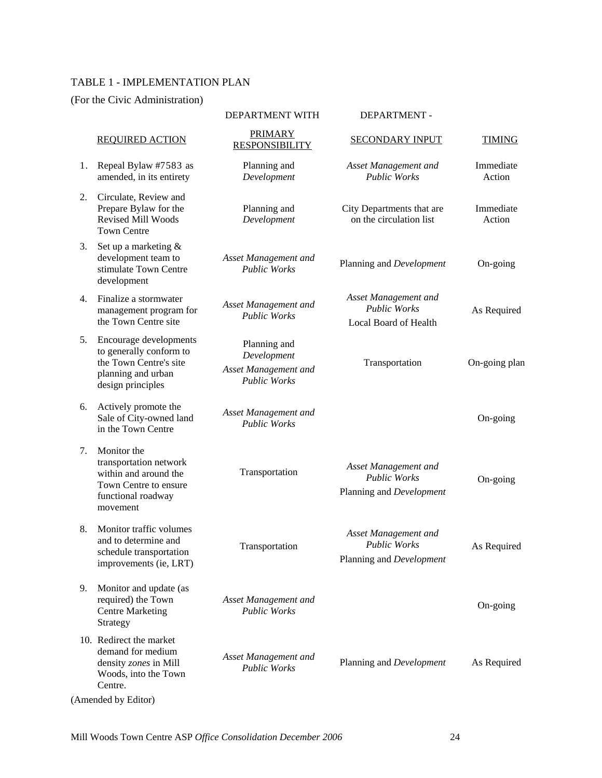### TABLE 1 - IMPLEMENTATION PLAN

#### (For the Civic Administration)

|    |                                                                                                                           | <b>DEPARTMENT WITH</b>                                                     | DEPARTMENT -                                                            |                     |  |  |
|----|---------------------------------------------------------------------------------------------------------------------------|----------------------------------------------------------------------------|-------------------------------------------------------------------------|---------------------|--|--|
|    | <b>REQUIRED ACTION</b>                                                                                                    | <b>PRIMARY</b><br><b>RESPONSIBILITY</b>                                    | <b>SECONDARY INPUT</b>                                                  | <b>TIMING</b>       |  |  |
| 1. | Repeal Bylaw #7583 as<br>amended, in its entirety                                                                         | Planning and<br>Development                                                | Asset Management and<br><b>Public Works</b>                             | Immediate<br>Action |  |  |
| 2. | Circulate, Review and<br>Prepare Bylaw for the<br><b>Revised Mill Woods</b><br><b>Town Centre</b>                         | Planning and<br>Development                                                | City Departments that are<br>on the circulation list                    | Immediate<br>Action |  |  |
| 3. | Set up a marketing &<br>development team to<br>stimulate Town Centre<br>development                                       | Asset Management and<br>Public Works                                       | Planning and Development                                                | On-going            |  |  |
| 4. | Finalize a stormwater<br>management program for<br>the Town Centre site                                                   | Asset Management and<br><b>Public Works</b>                                | Asset Management and<br><b>Public Works</b><br>Local Board of Health    | As Required         |  |  |
| 5. | Encourage developments<br>to generally conform to<br>the Town Centre's site<br>planning and urban<br>design principles    | Planning and<br>Development<br>Asset Management and<br><b>Public Works</b> | Transportation                                                          | On-going plan       |  |  |
| 6. | Actively promote the<br>Sale of City-owned land<br>in the Town Centre                                                     | Asset Management and<br><b>Public Works</b>                                |                                                                         | On-going            |  |  |
| 7. | Monitor the<br>transportation network<br>within and around the<br>Town Centre to ensure<br>functional roadway<br>movement | Transportation                                                             | Asset Management and<br><b>Public Works</b><br>Planning and Development | On-going            |  |  |
| 8. | Monitor traffic volumes<br>and to determine and<br>schedule transportation<br>improvements (ie, LRT)                      | Transportation                                                             | Asset Management and<br><b>Public Works</b><br>Planning and Development | As Required         |  |  |
| 9. | Monitor and update (as<br>required) the Town<br><b>Centre Marketing</b><br>Strategy                                       | Asset Management and<br><b>Public Works</b>                                |                                                                         | On-going            |  |  |
|    | 10. Redirect the market<br>demand for medium<br>density zones in Mill<br>Woods, into the Town<br>Centre.                  | Asset Management and<br><b>Public Works</b>                                | Planning and Development                                                | As Required         |  |  |
|    | (Amended by Editor)                                                                                                       |                                                                            |                                                                         |                     |  |  |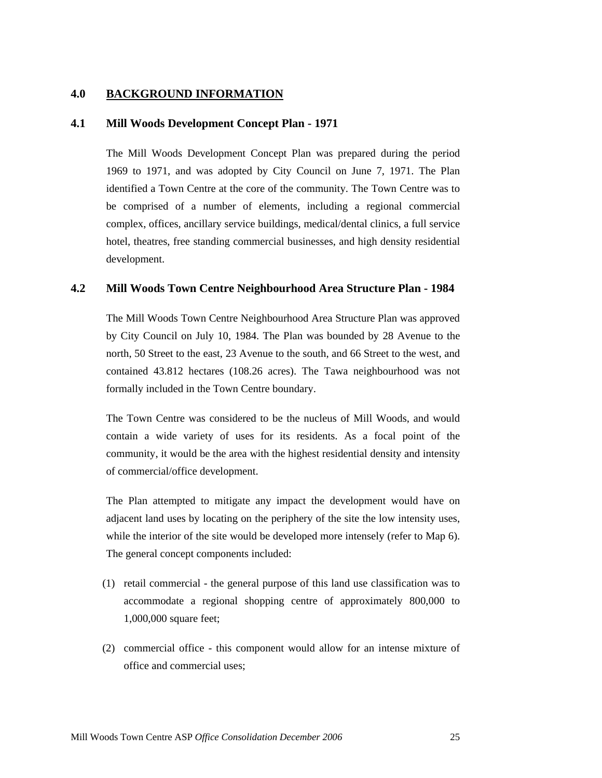#### <span id="page-31-0"></span>**4.0 BACKGROUND INFORMATION**

#### <span id="page-31-1"></span>**4.1 Mill Woods Development Concept Plan - 1971**

The Mill Woods Development Concept Plan was prepared during the period 1969 to 1971, and was adopted by City Council on June 7, 1971. The Plan identified a Town Centre at the core of the community. The Town Centre was to be comprised of a number of elements, including a regional commercial complex, offices, ancillary service buildings, medical/dental clinics, a full service hotel, theatres, free standing commercial businesses, and high density residential development.

#### <span id="page-31-2"></span>**4.2 Mill Woods Town Centre Neighbourhood Area Structure Plan - 1984**

The Mill Woods Town Centre Neighbourhood Area Structure Plan was approved by City Council on July 10, 1984. The Plan was bounded by 28 Avenue to the north, 50 Street to the east, 23 Avenue to the south, and 66 Street to the west, and contained 43.812 hectares (108.26 acres). The Tawa neighbourhood was not formally included in the Town Centre boundary.

The Town Centre was considered to be the nucleus of Mill Woods, and would contain a wide variety of uses for its residents. As a focal point of the community, it would be the area with the highest residential density and intensity of commercial/office development.

The Plan attempted to mitigate any impact the development would have on adjacent land uses by locating on the periphery of the site the low intensity uses, while the interior of the site would be developed more intensely (refer to Map 6). The general concept components included:

- (1) retail commercial the general purpose of this land use classification was to accommodate a regional shopping centre of approximately 800,000 to 1,000,000 square feet;
- (2) commercial office this component would allow for an intense mixture of office and commercial uses;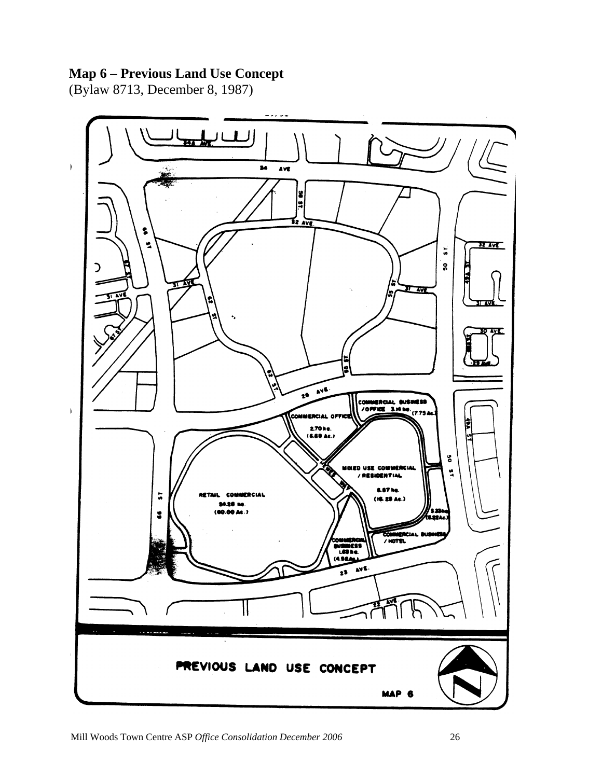# **Map 6 – Previous Land Use Concept**

(Bylaw 8713, December 8, 1987)

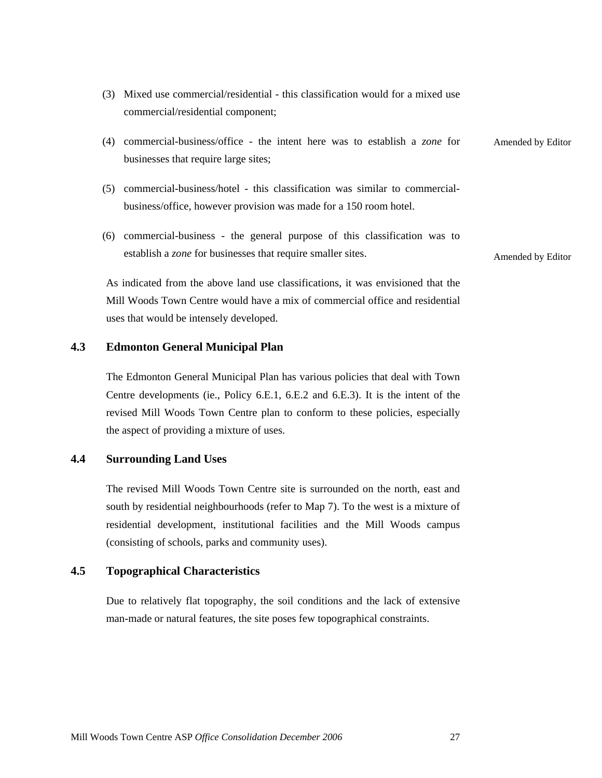- (3) Mixed use commercial/residential this classification would for a mixed use commercial/residential component;
- (4) commercial-business/office the intent here was to establish a *zone* for Amended by Editor businesses that require large sites;
- (5) commercial-business/hotel this classification was similar to commercialbusiness/office, however provision was made for a 150 room hotel.
- (6) commercial-business the general purpose of this classification was to establish a *zone* for businesses that require smaller sites. Amended by Editor

As indicated from the above land use classifications, it was envisioned that the Mill Woods Town Centre would have a mix of commercial office and residential uses that would be intensely developed.

#### <span id="page-33-0"></span>**4.3 Edmonton General Municipal Plan**

The Edmonton General Municipal Plan has various policies that deal with Town Centre developments (ie., Policy 6.E.1, 6.E.2 and 6.E.3). It is the intent of the revised Mill Woods Town Centre plan to conform to these policies, especially the aspect of providing a mixture of uses.

#### <span id="page-33-1"></span>**4.4 Surrounding Land Uses**

The revised Mill Woods Town Centre site is surrounded on the north, east and south by residential neighbourhoods (refer to Map 7). To the west is a mixture of residential development, institutional facilities and the Mill Woods campus (consisting of schools, parks and community uses).

#### <span id="page-33-2"></span>**4.5 Topographical Characteristics**

Due to relatively flat topography, the soil conditions and the lack of extensive man-made or natural features, the site poses few topographical constraints.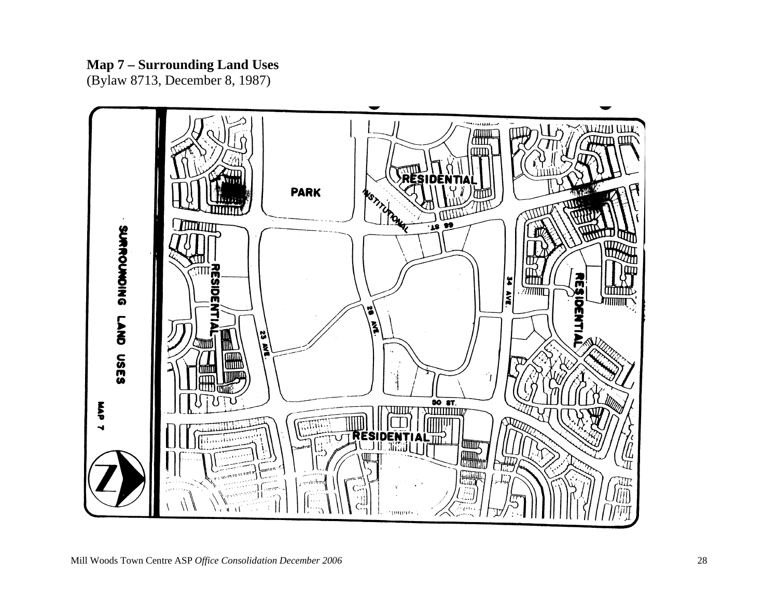### **Map 7 – Surrounding Land Uses**

(Bylaw 8713, December 8, 1987)

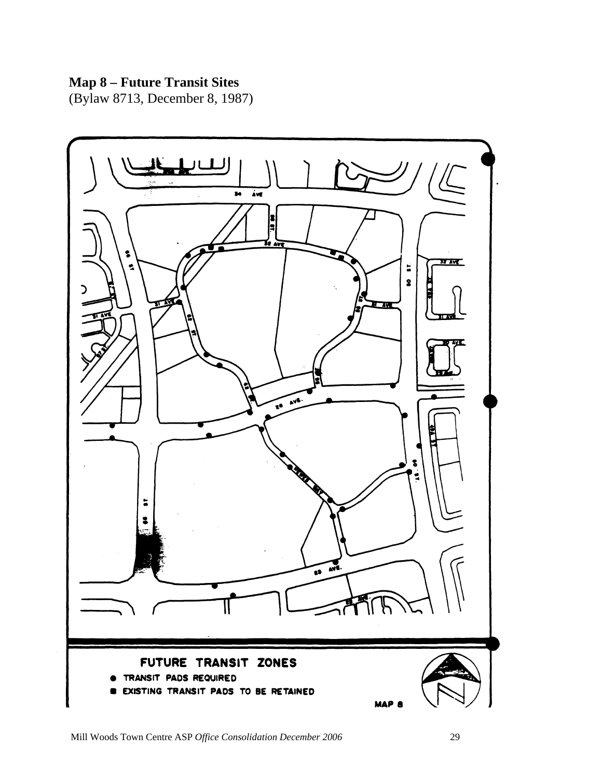## **Map 8 – Future Transit Sites**

(Bylaw 8713, December 8, 1987)

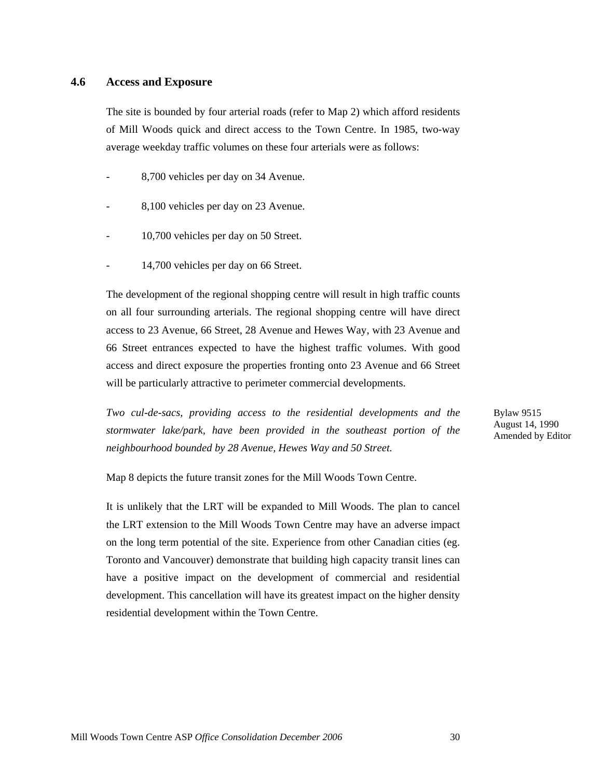#### <span id="page-36-0"></span>**4.6 Access and Exposure**

The site is bounded by four arterial roads (refer to Map 2) which afford residents of Mill Woods quick and direct access to the Town Centre. In 1985, two-way average weekday traffic volumes on these four arterials were as follows:

- 8,700 vehicles per day on 34 Avenue.
- 8,100 vehicles per day on 23 Avenue.
- 10,700 vehicles per day on 50 Street.
- 14,700 vehicles per day on 66 Street.

The development of the regional shopping centre will result in high traffic counts on all four surrounding arterials. The regional shopping centre will have direct access to 23 Avenue, 66 Street, 28 Avenue and Hewes Way, with 23 Avenue and 66 Street entrances expected to have the highest traffic volumes. With good access and direct exposure the properties fronting onto 23 Avenue and 66 Street will be particularly attractive to perimeter commercial developments.

*Two cul-de-sacs, providing access to the residential developments and the stormwater lake/park, have been provided in the southeast portion of the neighbourhood bounded by 28 Avenue, Hewes Way and 50 Street.* 

Map 8 depicts the future transit zones for the Mill Woods Town Centre.

It is unlikely that the LRT will be expanded to Mill Woods. The plan to cancel the LRT extension to the Mill Woods Town Centre may have an adverse impact on the long term potential of the site. Experience from other Canadian cities (eg. Toronto and Vancouver) demonstrate that building high capacity transit lines can have a positive impact on the development of commercial and residential development. This cancellation will have its greatest impact on the higher density residential development within the Town Centre.

Bylaw 9515 August 14, 1990 Amended by Editor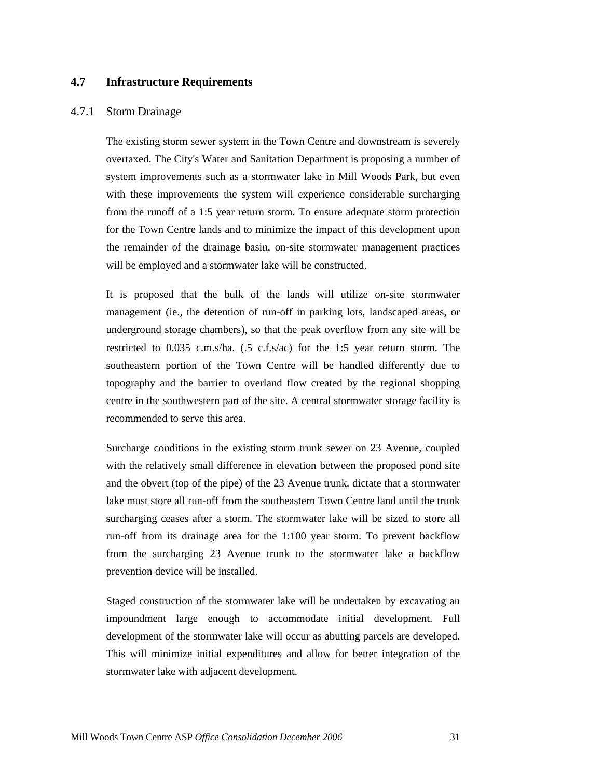#### <span id="page-37-0"></span>**4.7 Infrastructure Requirements**

#### 4.7.1 Storm Drainage

The existing storm sewer system in the Town Centre and downstream is severely overtaxed. The City's Water and Sanitation Department is proposing a number of system improvements such as a stormwater lake in Mill Woods Park, but even with these improvements the system will experience considerable surcharging from the runoff of a 1:5 year return storm. To ensure adequate storm protection for the Town Centre lands and to minimize the impact of this development upon the remainder of the drainage basin, on-site stormwater management practices will be employed and a stormwater lake will be constructed.

It is proposed that the bulk of the lands will utilize on-site stormwater management (ie., the detention of run-off in parking lots, landscaped areas, or underground storage chambers), so that the peak overflow from any site will be restricted to 0.035 c.m.s/ha. (.5 c.f.s/ac) for the 1:5 year return storm. The southeastern portion of the Town Centre will be handled differently due to topography and the barrier to overland flow created by the regional shopping centre in the southwestern part of the site. A central stormwater storage facility is recommended to serve this area.

Surcharge conditions in the existing storm trunk sewer on 23 Avenue, coupled with the relatively small difference in elevation between the proposed pond site and the obvert (top of the pipe) of the 23 Avenue trunk, dictate that a stormwater lake must store all run-off from the southeastern Town Centre land until the trunk surcharging ceases after a storm. The stormwater lake will be sized to store all run-off from its drainage area for the 1:100 year storm. To prevent backflow from the surcharging 23 Avenue trunk to the stormwater lake a backflow prevention device will be installed.

Staged construction of the stormwater lake will be undertaken by excavating an impoundment large enough to accommodate initial development. Full development of the stormwater lake will occur as abutting parcels are developed. This will minimize initial expenditures and allow for better integration of the stormwater lake with adjacent development.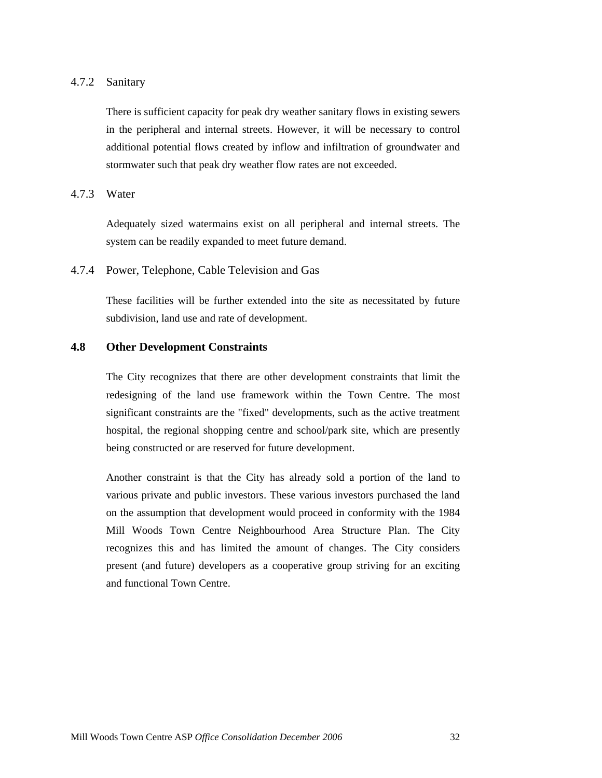#### 4.7.2 Sanitary

There is sufficient capacity for peak dry weather sanitary flows in existing sewers in the peripheral and internal streets. However, it will be necessary to control additional potential flows created by inflow and infiltration of groundwater and stormwater such that peak dry weather flow rates are not exceeded.

4.7.3 Water

Adequately sized watermains exist on all peripheral and internal streets. The system can be readily expanded to meet future demand.

4.7.4 Power, Telephone, Cable Television and Gas

These facilities will be further extended into the site as necessitated by future subdivision, land use and rate of development.

#### <span id="page-38-0"></span>**4.8 Other Development Constraints**

The City recognizes that there are other development constraints that limit the redesigning of the land use framework within the Town Centre. The most significant constraints are the "fixed" developments, such as the active treatment hospital, the regional shopping centre and school/park site, which are presently being constructed or are reserved for future development.

Another constraint is that the City has already sold a portion of the land to various private and public investors. These various investors purchased the land on the assumption that development would proceed in conformity with the 1984 Mill Woods Town Centre Neighbourhood Area Structure Plan. The City recognizes this and has limited the amount of changes. The City considers present (and future) developers as a cooperative group striving for an exciting and functional Town Centre.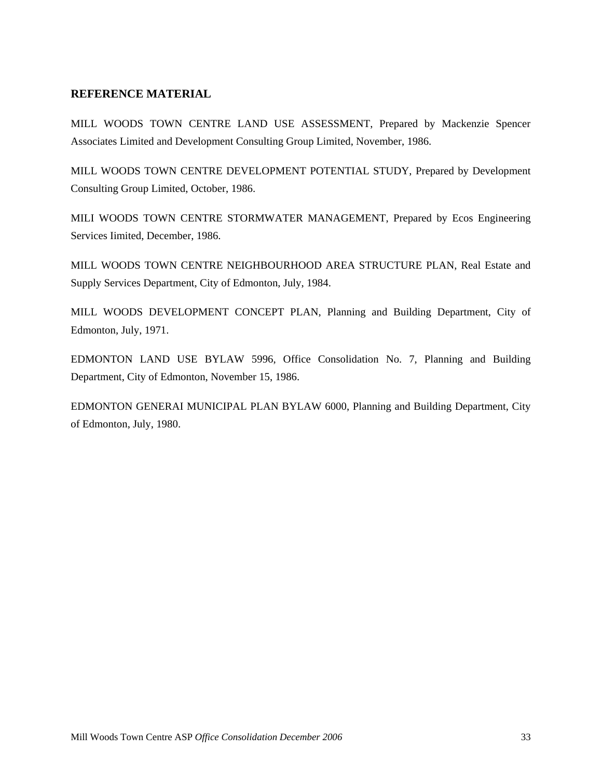#### <span id="page-39-0"></span>**REFERENCE MATERIAL**

MILL WOODS TOWN CENTRE LAND USE ASSESSMENT, Prepared by Mackenzie Spencer Associates Limited and Development Consulting Group Limited, November, 1986.

MILL WOODS TOWN CENTRE DEVELOPMENT POTENTIAL STUDY, Prepared by Development Consulting Group Limited, October, 1986.

MILI WOODS TOWN CENTRE STORMWATER MANAGEMENT, Prepared by Ecos Engineering Services Iimited, December, 1986.

MILL WOODS TOWN CENTRE NEIGHBOURHOOD AREA STRUCTURE PLAN, Real Estate and Supply Services Department, City of Edmonton, July, 1984.

MILL WOODS DEVELOPMENT CONCEPT PLAN, Planning and Building Department, City of Edmonton, July, 1971.

EDMONTON LAND USE BYLAW 5996, Office Consolidation No. 7, Planning and Building Department, City of Edmonton, November 15, 1986.

EDMONTON GENERAI MUNICIPAL PLAN BYLAW 6000, Planning and Building Department, City of Edmonton, July, 1980.